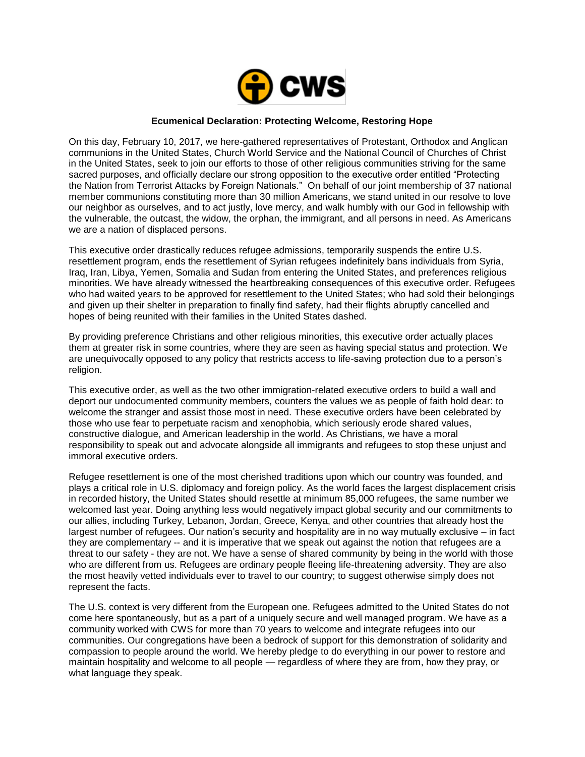

## **Ecumenical Declaration: Protecting Welcome, Restoring Hope**

On this day, February 10, 2017, we here-gathered representatives of Protestant, Orthodox and Anglican communions in the United States, Church World Service and the National Council of Churches of Christ in the United States, seek to join our efforts to those of other religious communities striving for the same sacred purposes, and officially declare our strong opposition to the executive order entitled "Protecting the Nation from Terrorist Attacks by Foreign Nationals." On behalf of our joint membership of 37 national member communions constituting more than 30 million Americans, we stand united in our resolve to love our neighbor as ourselves, and to act justly, love mercy, and walk humbly with our God in fellowship with the vulnerable, the outcast, the widow, the orphan, the immigrant, and all persons in need. As Americans we are a nation of displaced persons.

This executive order drastically reduces refugee admissions, temporarily suspends the entire U.S. resettlement program, ends the resettlement of Syrian refugees indefinitely bans individuals from Syria, Iraq, Iran, Libya, Yemen, Somalia and Sudan from entering the United States, and preferences religious minorities. We have already witnessed the heartbreaking consequences of this executive order. Refugees who had waited years to be approved for resettlement to the United States; who had sold their belongings and given up their shelter in preparation to finally find safety, had their flights abruptly cancelled and hopes of being reunited with their families in the United States dashed.

By providing preference Christians and other religious minorities, this executive order actually places them at greater risk in some countries, where they are seen as having special status and protection. We are unequivocally opposed to any policy that restricts access to life-saving protection due to a person's religion.

This executive order, as well as the two other immigration-related executive orders to build a wall and deport our undocumented community members, counters the values we as people of faith hold dear: to welcome the stranger and assist those most in need. These executive orders have been celebrated by those who use fear to perpetuate racism and xenophobia, which seriously erode shared values, constructive dialogue, and American leadership in the world. As Christians, we have a moral responsibility to speak out and advocate alongside all immigrants and refugees to stop these unjust and immoral executive orders.

Refugee resettlement is one of the most cherished traditions upon which our country was founded, and plays a critical role in U.S. diplomacy and foreign policy. As the world faces the largest displacement crisis in recorded history, the United States should resettle at minimum 85,000 refugees, the same number we welcomed last year. Doing anything less would negatively impact global security and our commitments to our allies, including Turkey, Lebanon, Jordan, Greece, Kenya, and other countries that already host the largest number of refugees. Our nation's security and hospitality are in no way mutually exclusive – in fact they are complementary -- and it is imperative that we speak out against the notion that refugees are a threat to our safety - they are not. We have a sense of shared community by being in the world with those who are different from us. Refugees are ordinary people fleeing life-threatening adversity. They are also the most heavily vetted individuals ever to travel to our country; to suggest otherwise simply does not represent the facts.

The U.S. context is very different from the European one. Refugees admitted to the United States do not come here spontaneously, but as a part of a uniquely secure and well managed program. We have as a community worked with CWS for more than 70 years to welcome and integrate refugees into our communities. Our congregations have been a bedrock of support for this demonstration of solidarity and compassion to people around the world. We hereby pledge to do everything in our power to restore and maintain hospitality and welcome to all people — regardless of where they are from, how they pray, or what language they speak.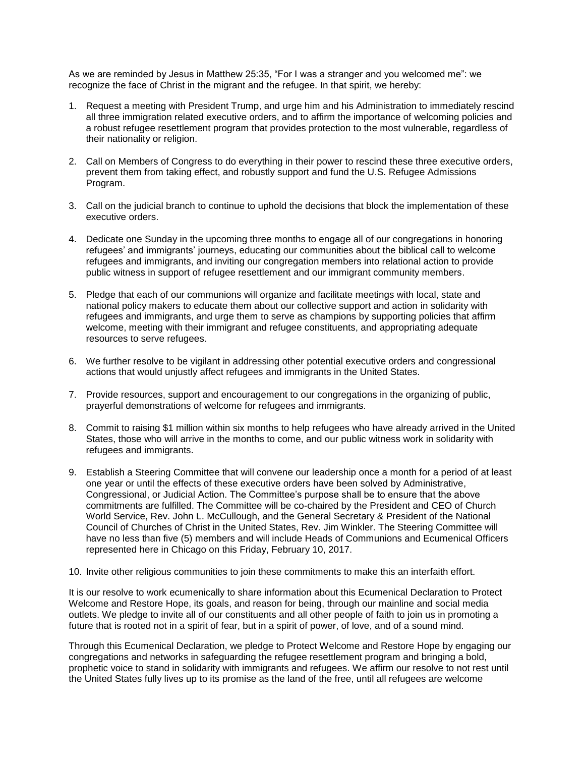As we are reminded by Jesus in Matthew 25:35, "For I was a stranger and you welcomed me": we recognize the face of Christ in the migrant and the refugee. In that spirit, we hereby:

- 1. Request a meeting with President Trump, and urge him and his Administration to immediately rescind all three immigration related executive orders, and to affirm the importance of welcoming policies and a robust refugee resettlement program that provides protection to the most vulnerable, regardless of their nationality or religion.
- 2. Call on Members of Congress to do everything in their power to rescind these three executive orders, prevent them from taking effect, and robustly support and fund the U.S. Refugee Admissions Program.
- 3. Call on the judicial branch to continue to uphold the decisions that block the implementation of these executive orders.
- 4. Dedicate one Sunday in the upcoming three months to engage all of our congregations in honoring refugees' and immigrants' journeys, educating our communities about the biblical call to welcome refugees and immigrants, and inviting our congregation members into relational action to provide public witness in support of refugee resettlement and our immigrant community members.
- 5. Pledge that each of our communions will organize and facilitate meetings with local, state and national policy makers to educate them about our collective support and action in solidarity with refugees and immigrants, and urge them to serve as champions by supporting policies that affirm welcome, meeting with their immigrant and refugee constituents, and appropriating adequate resources to serve refugees.
- 6. We further resolve to be vigilant in addressing other potential executive orders and congressional actions that would unjustly affect refugees and immigrants in the United States.
- 7. Provide resources, support and encouragement to our congregations in the organizing of public, prayerful demonstrations of welcome for refugees and immigrants.
- 8. Commit to raising \$1 million within six months to help refugees who have already arrived in the United States, those who will arrive in the months to come, and our public witness work in solidarity with refugees and immigrants.
- 9. Establish a Steering Committee that will convene our leadership once a month for a period of at least one year or until the effects of these executive orders have been solved by Administrative, Congressional, or Judicial Action. The Committee's purpose shall be to ensure that the above commitments are fulfilled. The Committee will be co-chaired by the President and CEO of Church World Service, Rev. John L. McCullough, and the General Secretary & President of the National Council of Churches of Christ in the United States, Rev. Jim Winkler. The Steering Committee will have no less than five (5) members and will include Heads of Communions and Ecumenical Officers represented here in Chicago on this Friday, February 10, 2017.
- 10. Invite other religious communities to join these commitments to make this an interfaith effort.

It is our resolve to work ecumenically to share information about this Ecumenical Declaration to Protect Welcome and Restore Hope, its goals, and reason for being, through our mainline and social media outlets. We pledge to invite all of our constituents and all other people of faith to join us in promoting a future that is rooted not in a spirit of fear, but in a spirit of power, of love, and of a sound mind.

Through this Ecumenical Declaration, we pledge to Protect Welcome and Restore Hope by engaging our congregations and networks in safeguarding the refugee resettlement program and bringing a bold, prophetic voice to stand in solidarity with immigrants and refugees. We affirm our resolve to not rest until the United States fully lives up to its promise as the land of the free, until all refugees are welcome